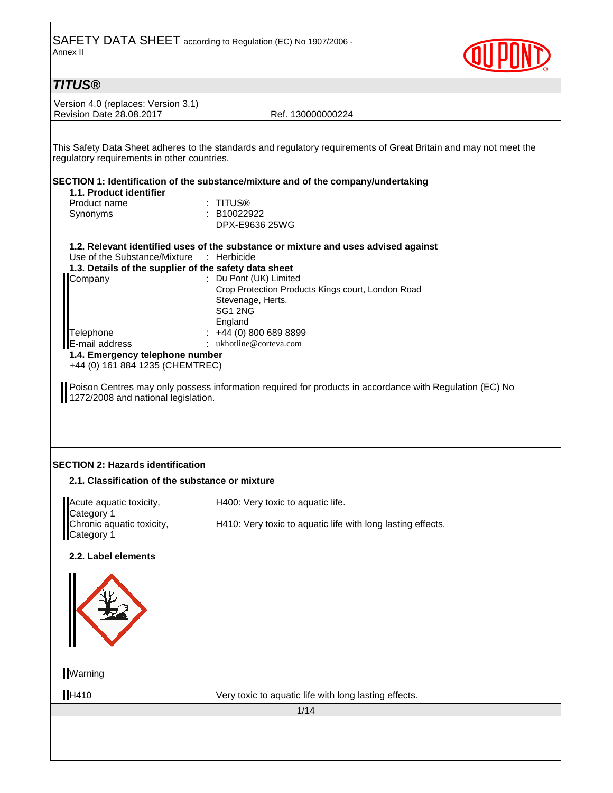

## **TITUS®**

Version 4.0 (replaces: Version 3.1) Revision Date 28.08.2017 Ref. 130000000224

This Safety Data Sheet adheres to the standards and regulatory requirements of Great Britain and may not meet the regulatory requirements in other countries.

|                                                       | SECTION 1: Identification of the substance/mixture and of the company/undertaking  |
|-------------------------------------------------------|------------------------------------------------------------------------------------|
| 1.1. Product identifier                               |                                                                                    |
| Product name                                          | : TITUS®                                                                           |
| Synonyms                                              | $\therefore$ B10022922                                                             |
|                                                       | DPX-E9636 25WG                                                                     |
|                                                       | 1.2. Relevant identified uses of the substance or mixture and uses advised against |
| Use of the Substance/Mixture : Herbicide              |                                                                                    |
| 1.3. Details of the supplier of the safety data sheet |                                                                                    |
| Company                                               | : Du Pont (UK) Limited                                                             |
|                                                       | Crop Protection Products Kings court, London Road                                  |
|                                                       | Stevenage, Herts.                                                                  |
|                                                       | SG <sub>1</sub> 2N <sub>G</sub>                                                    |
|                                                       | England                                                                            |
| Felephone                                             | $\div$ +44 (0) 800 689 8899                                                        |
| <b>E-mail address</b>                                 | : ukhotline@corteva.com                                                            |
|                                                       |                                                                                    |
| 1.4. Emergency telephone number                       |                                                                                    |
| +44 (0) 161 884 1235 (CHEMTREC)                       |                                                                                    |

Poison Centres may only possess information required for products in accordance with Regulation (EC) No Poison Centres may only possess in 1272/2008 and national legislation.

### **SECTION 2: Hazards identification**

### **2.1. Classification of the substance or mixture**

| Acute aquatic toxicity,<br>Category 1<br>Chronic aquatic toxicity,<br>Category 1 | H400: Very toxic to aquatic life.                           |
|----------------------------------------------------------------------------------|-------------------------------------------------------------|
|                                                                                  |                                                             |
|                                                                                  | H410: Very toxic to aquatic life with long lasting effects. |
|                                                                                  |                                                             |

### **2.2. Label elements**



**Warning** 

H410 Very toxic to aquatic life with long lasting effects.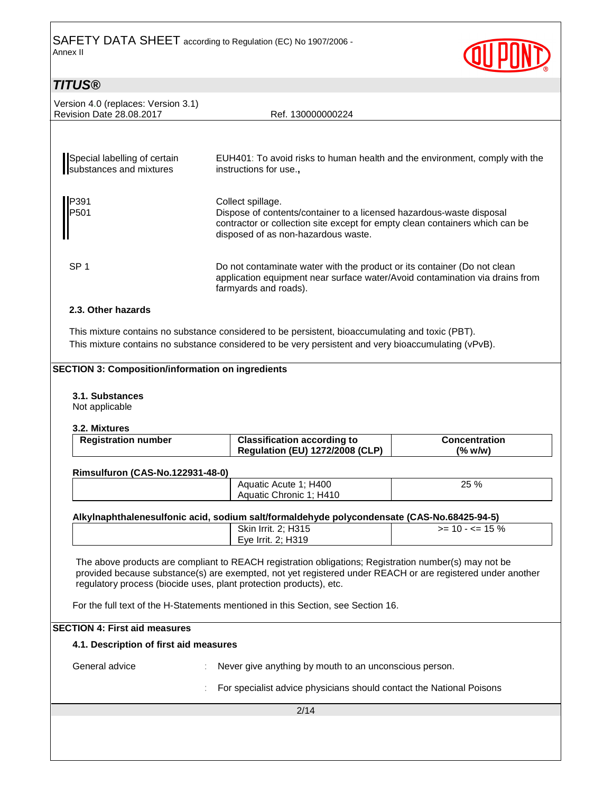

## **TITUS®**

| Version 4.0 (replaces: Version 3.1)<br><b>Revision Date 28,08,2017</b> | Ref. 130000000224                                                                                                                                                                                                |
|------------------------------------------------------------------------|------------------------------------------------------------------------------------------------------------------------------------------------------------------------------------------------------------------|
|                                                                        |                                                                                                                                                                                                                  |
| Special labelling of certain<br>substances and mixtures                | EUH401: To avoid risks to human health and the environment, comply with the<br>instructions for use.,                                                                                                            |
| P391<br>P501                                                           | Collect spillage.<br>Dispose of contents/container to a licensed hazardous-waste disposal<br>contractor or collection site except for empty clean containers which can be<br>disposed of as non-hazardous waste. |
| SP <sub>1</sub>                                                        | Do not contaminate water with the product or its container (Do not clean<br>application equipment near surface water/Avoid contamination via drains from<br>farmyards and roads).                                |
| 2.3. Other hazards                                                     |                                                                                                                                                                                                                  |

This mixture contains no substance considered to be persistent, bioaccumulating and toxic (PBT). This mixture contains no substance considered to be very persistent and very bioaccumulating (vPvB).

### **SECTION 3: Composition/information on ingredients**

### **3.1. Substances**

Not applicable

#### **3.2. Mixtures**

| <b>Registration number</b> | <b>Classification according to</b>     | <b>Concentration</b> |
|----------------------------|----------------------------------------|----------------------|
|                            | <b>Regulation (EU) 1272/2008 (CLP)</b> | $(\%$ w/w)           |

#### **Rimsulfuron (CAS-No.122931-48-0)**

| H400<br>Aquatic Acute 1        | 25 % |
|--------------------------------|------|
| H410<br>↑ Chronic ر<br>Aquatic |      |

### **Alkylnaphthalenesulfonic acid, sodium salt/formaldehyde polycondensate (CAS-No.68425-94-5)**

| Skin Irrit. 2; H315 | $>= 10 - 5 = 15 \%$ |
|---------------------|---------------------|
| Eye Irrit. 2; H319  |                     |

The above products are compliant to REACH registration obligations; Registration number(s) may not be provided because substance(s) are exempted, not yet registered under REACH or are registered under another regulatory process (biocide uses, plant protection products), etc.

For the full text of the H-Statements mentioned in this Section, see Section 16.

### **SECTION 4: First aid measures**

### **4.1. Description of first aid measures**

General advice : Never give anything by mouth to an unconscious person.

: For specialist advice physicians should contact the National Poisons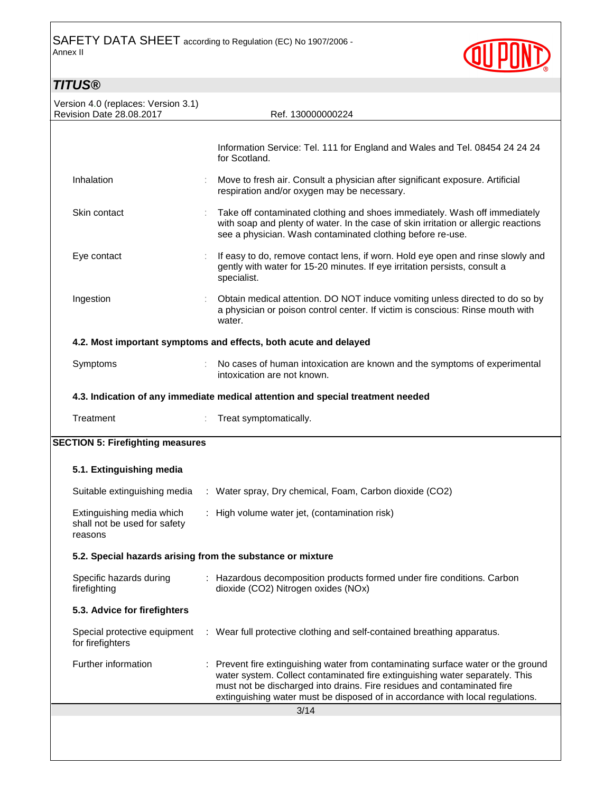

# **TITUS®**

| Version 4.0 (replaces: Version 3.1)                                  |                                                                                                                                                                                                                                                                                                                               |
|----------------------------------------------------------------------|-------------------------------------------------------------------------------------------------------------------------------------------------------------------------------------------------------------------------------------------------------------------------------------------------------------------------------|
| Revision Date 28.08.2017                                             | Ref. 130000000224                                                                                                                                                                                                                                                                                                             |
|                                                                      | Information Service: Tel. 111 for England and Wales and Tel. 08454 24 24 24<br>for Scotland.                                                                                                                                                                                                                                  |
| Inhalation                                                           | Move to fresh air. Consult a physician after significant exposure. Artificial<br>respiration and/or oxygen may be necessary.                                                                                                                                                                                                  |
| Skin contact                                                         | Take off contaminated clothing and shoes immediately. Wash off immediately<br>with soap and plenty of water. In the case of skin irritation or allergic reactions<br>see a physician. Wash contaminated clothing before re-use.                                                                                               |
| Eye contact                                                          | If easy to do, remove contact lens, if worn. Hold eye open and rinse slowly and<br>gently with water for 15-20 minutes. If eye irritation persists, consult a<br>specialist.                                                                                                                                                  |
| Ingestion                                                            | Obtain medical attention. DO NOT induce vomiting unless directed to do so by<br>a physician or poison control center. If victim is conscious: Rinse mouth with<br>water.                                                                                                                                                      |
|                                                                      | 4.2. Most important symptoms and effects, both acute and delayed                                                                                                                                                                                                                                                              |
| Symptoms                                                             | No cases of human intoxication are known and the symptoms of experimental<br>intoxication are not known.                                                                                                                                                                                                                      |
|                                                                      | 4.3. Indication of any immediate medical attention and special treatment needed                                                                                                                                                                                                                                               |
| Treatment                                                            | Treat symptomatically.                                                                                                                                                                                                                                                                                                        |
| <b>SECTION 5: Firefighting measures</b>                              |                                                                                                                                                                                                                                                                                                                               |
| 5.1. Extinguishing media                                             |                                                                                                                                                                                                                                                                                                                               |
|                                                                      | Suitable extinguishing media : Water spray, Dry chemical, Foam, Carbon dioxide (CO2)                                                                                                                                                                                                                                          |
| Extinguishing media which<br>shall not be used for safety<br>reasons | : High volume water jet, (contamination risk)                                                                                                                                                                                                                                                                                 |
| 5.2. Special hazards arising from the substance or mixture           |                                                                                                                                                                                                                                                                                                                               |
| Specific hazards during<br>firefighting                              | : Hazardous decomposition products formed under fire conditions. Carbon<br>dioxide (CO2) Nitrogen oxides (NOx)                                                                                                                                                                                                                |
| 5.3. Advice for firefighters                                         |                                                                                                                                                                                                                                                                                                                               |
| Special protective equipment<br>for firefighters                     | : Wear full protective clothing and self-contained breathing apparatus.                                                                                                                                                                                                                                                       |
| Further information                                                  | : Prevent fire extinguishing water from contaminating surface water or the ground<br>water system. Collect contaminated fire extinguishing water separately. This<br>must not be discharged into drains. Fire residues and contaminated fire<br>extinguishing water must be disposed of in accordance with local regulations. |
|                                                                      | 3/14                                                                                                                                                                                                                                                                                                                          |
|                                                                      |                                                                                                                                                                                                                                                                                                                               |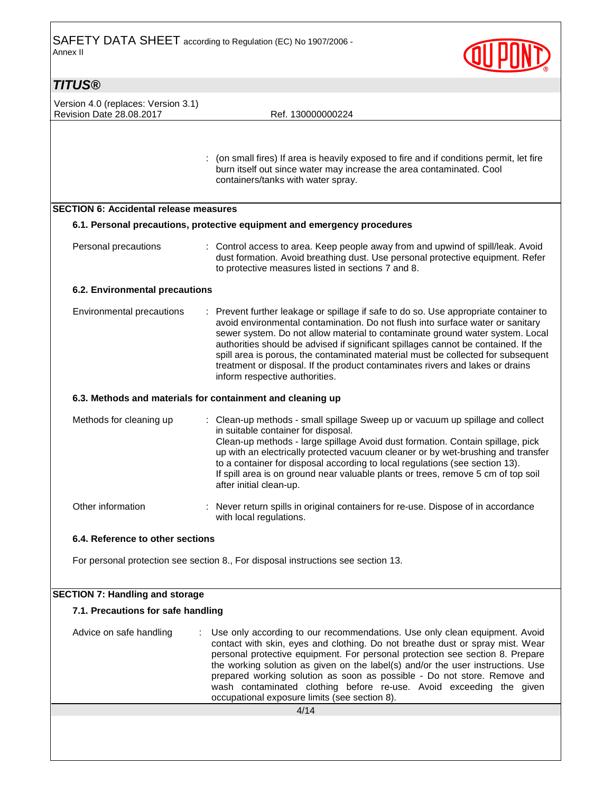

## **TITUS®**

Version 4.0 (replaces: Version 3.1) Revision Date 28.08.2017 Ref. 130000000224

 : (on small fires) If area is heavily exposed to fire and if conditions permit, let fire burn itself out since water may increase the area contaminated. Cool containers/tanks with water spray.

### **SECTION 6: Accidental release measures**

### **6.1. Personal precautions, protective equipment and emergency procedures**

Personal precautions : Control access to area. Keep people away from and upwind of spill/leak. Avoid dust formation. Avoid breathing dust. Use personal protective equipment. Refer to protective measures listed in sections 7 and 8.

### **6.2. Environmental precautions**

| Environmental precautions | : Prevent further leakage or spillage if safe to do so. Use appropriate container to<br>avoid environmental contamination. Do not flush into surface water or sanitary<br>sewer system. Do not allow material to contaminate ground water system. Local<br>authorities should be advised if significant spillages cannot be contained. If the<br>spill area is porous, the contaminated material must be collected for subsequent<br>treatment or disposal. If the product contaminates rivers and lakes or drains |
|---------------------------|--------------------------------------------------------------------------------------------------------------------------------------------------------------------------------------------------------------------------------------------------------------------------------------------------------------------------------------------------------------------------------------------------------------------------------------------------------------------------------------------------------------------|
|                           | inform respective authorities.                                                                                                                                                                                                                                                                                                                                                                                                                                                                                     |

### **6.3. Methods and materials for containment and cleaning up**

| Methods for cleaning up | : Clean-up methods - small spillage Sweep up or vacuum up spillage and collect<br>in suitable container for disposal.<br>Clean-up methods - large spillage Avoid dust formation. Contain spillage, pick<br>up with an electrically protected vacuum cleaner or by wet-brushing and transfer<br>to a container for disposal according to local regulations (see section 13).<br>If spill area is on ground near valuable plants or trees, remove 5 cm of top soil<br>after initial clean-up. |
|-------------------------|---------------------------------------------------------------------------------------------------------------------------------------------------------------------------------------------------------------------------------------------------------------------------------------------------------------------------------------------------------------------------------------------------------------------------------------------------------------------------------------------|
| Other information       | : Never return spills in original containers for re-use. Dispose of in accordance<br>with local regulations.                                                                                                                                                                                                                                                                                                                                                                                |

### **6.4. Reference to other sections**

For personal protection see section 8., For disposal instructions see section 13.

### **SECTION 7: Handling and storage**

### **7.1. Precautions for safe handling**

Advice on safe handling : Use only according to our recommendations. Use only clean equipment. Avoid contact with skin, eyes and clothing. Do not breathe dust or spray mist. Wear personal protective equipment. For personal protection see section 8. Prepare the working solution as given on the label(s) and/or the user instructions. Use prepared working solution as soon as possible - Do not store. Remove and wash contaminated clothing before re-use. Avoid exceeding the given occupational exposure limits (see section 8).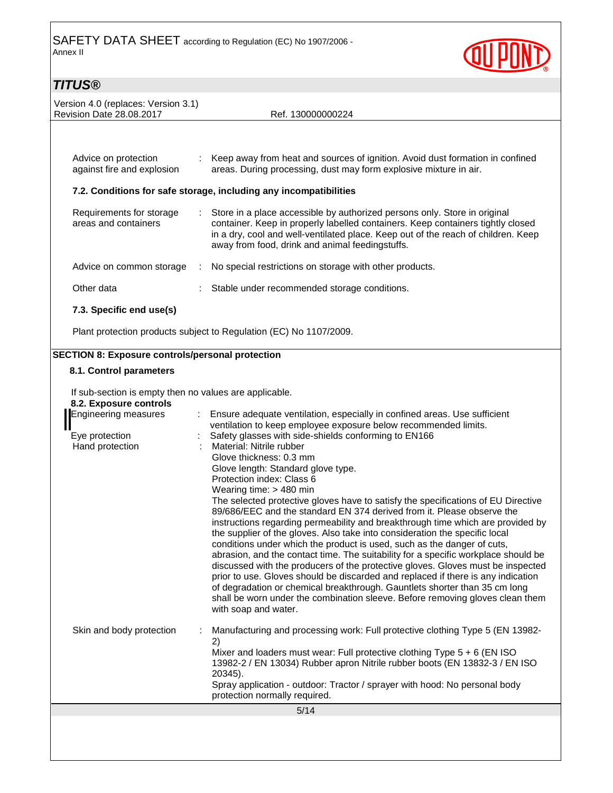

# **TITUS®**

| Version 4.0 (replaces: Version 3.1)<br><b>Revision Date 28.08.2017</b> | Ref. 130000000224                                                                                                                                                                                                                                                                                      |
|------------------------------------------------------------------------|--------------------------------------------------------------------------------------------------------------------------------------------------------------------------------------------------------------------------------------------------------------------------------------------------------|
|                                                                        |                                                                                                                                                                                                                                                                                                        |
| Advice on protection<br>against fire and explosion                     | : Keep away from heat and sources of ignition. Avoid dust formation in confined<br>areas. During processing, dust may form explosive mixture in air.                                                                                                                                                   |
|                                                                        | 7.2. Conditions for safe storage, including any incompatibilities                                                                                                                                                                                                                                      |
| Requirements for storage<br>areas and containers                       | : Store in a place accessible by authorized persons only. Store in original<br>container. Keep in properly labelled containers. Keep containers tightly closed<br>in a dry, cool and well-ventilated place. Keep out of the reach of children. Keep<br>away from food, drink and animal feedingstuffs. |
| Advice on common storage                                               | No special restrictions on storage with other products.                                                                                                                                                                                                                                                |
| Other data                                                             | Stable under recommended storage conditions.                                                                                                                                                                                                                                                           |
| 7.3. Specific end use(s)                                               |                                                                                                                                                                                                                                                                                                        |
|                                                                        | Plant protection products subject to Regulation (EC) No 1107/2009.                                                                                                                                                                                                                                     |

## **SECTION 8: Exposure controls/personal protection**

### **8.1. Control parameters**

If sub-section is empty then no values are applicable.

|  |  | 8.2. Exposure controls |
|--|--|------------------------|
|--|--|------------------------|

| <b>Engineering measures</b>       | Ensure adequate ventilation, especially in confined areas. Use sufficient<br>ventilation to keep employee exposure below recommended limits.                                                                                                                                                                                                                                                                                                                                                                                                                                                                                                                                                                                                                                                                                                                                                                                                                                                                                                                                |
|-----------------------------------|-----------------------------------------------------------------------------------------------------------------------------------------------------------------------------------------------------------------------------------------------------------------------------------------------------------------------------------------------------------------------------------------------------------------------------------------------------------------------------------------------------------------------------------------------------------------------------------------------------------------------------------------------------------------------------------------------------------------------------------------------------------------------------------------------------------------------------------------------------------------------------------------------------------------------------------------------------------------------------------------------------------------------------------------------------------------------------|
| Eye protection<br>Hand protection | Safety glasses with side-shields conforming to EN166<br>Material: Nitrile rubber<br>Glove thickness: 0.3 mm<br>Glove length: Standard glove type.<br>Protection index: Class 6<br>Wearing time: $>$ 480 min<br>The selected protective gloves have to satisfy the specifications of EU Directive<br>89/686/EEC and the standard EN 374 derived from it. Please observe the<br>instructions regarding permeability and breakthrough time which are provided by<br>the supplier of the gloves. Also take into consideration the specific local<br>conditions under which the product is used, such as the danger of cuts,<br>abrasion, and the contact time. The suitability for a specific workplace should be<br>discussed with the producers of the protective gloves. Gloves must be inspected<br>prior to use. Gloves should be discarded and replaced if there is any indication<br>of degradation or chemical breakthrough. Gauntlets shorter than 35 cm long<br>shall be worn under the combination sleeve. Before removing gloves clean them<br>with soap and water. |
| Skin and body protection          | Manufacturing and processing work: Full protective clothing Type 5 (EN 13982-<br>2)<br>Mixer and loaders must wear: Full protective clothing Type $5 + 6$ (EN ISO<br>13982-2 / EN 13034) Rubber apron Nitrile rubber boots (EN 13832-3 / EN ISO<br>20345).<br>Spray application - outdoor: Tractor / sprayer with hood: No personal body<br>protection normally required.                                                                                                                                                                                                                                                                                                                                                                                                                                                                                                                                                                                                                                                                                                   |
|                                   | 5/14                                                                                                                                                                                                                                                                                                                                                                                                                                                                                                                                                                                                                                                                                                                                                                                                                                                                                                                                                                                                                                                                        |
|                                   |                                                                                                                                                                                                                                                                                                                                                                                                                                                                                                                                                                                                                                                                                                                                                                                                                                                                                                                                                                                                                                                                             |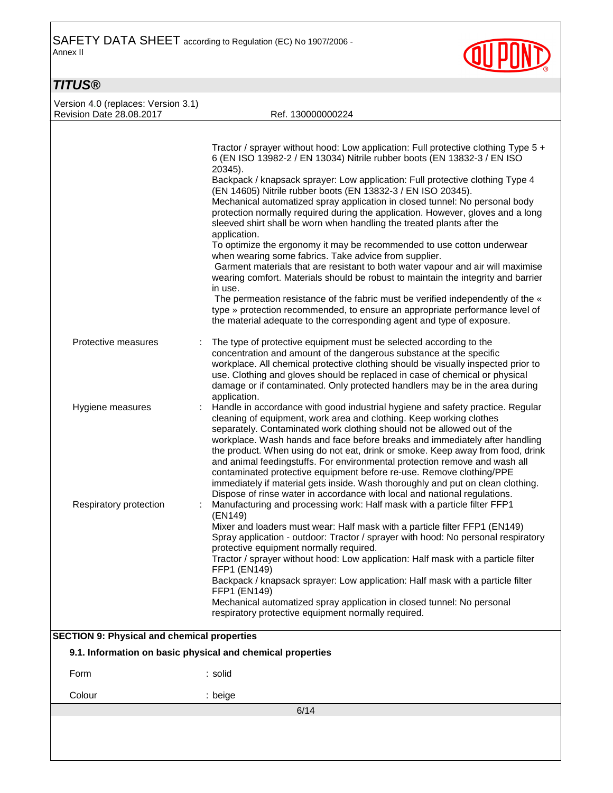

## **TITUS®**

Version 4.0 (replaces: Version 3.1) Revision Date 28.08.2017 Ref. 130000000224

|                                                    | Tractor / sprayer without hood: Low application: Full protective clothing Type 5 +<br>6 (EN ISO 13982-2 / EN 13034) Nitrile rubber boots (EN 13832-3 / EN ISO                                                                                                                                                                                                                                                                                                                                                                                                                                                                                                                                                           |  |
|----------------------------------------------------|-------------------------------------------------------------------------------------------------------------------------------------------------------------------------------------------------------------------------------------------------------------------------------------------------------------------------------------------------------------------------------------------------------------------------------------------------------------------------------------------------------------------------------------------------------------------------------------------------------------------------------------------------------------------------------------------------------------------------|--|
|                                                    | 20345).                                                                                                                                                                                                                                                                                                                                                                                                                                                                                                                                                                                                                                                                                                                 |  |
|                                                    | Backpack / knapsack sprayer: Low application: Full protective clothing Type 4<br>(EN 14605) Nitrile rubber boots (EN 13832-3 / EN ISO 20345).<br>Mechanical automatized spray application in closed tunnel: No personal body<br>protection normally required during the application. However, gloves and a long<br>sleeved shirt shall be worn when handling the treated plants after the                                                                                                                                                                                                                                                                                                                               |  |
|                                                    | application.<br>To optimize the ergonomy it may be recommended to use cotton underwear<br>when wearing some fabrics. Take advice from supplier.<br>Garment materials that are resistant to both water vapour and air will maximise<br>wearing comfort. Materials should be robust to maintain the integrity and barrier<br>in use.                                                                                                                                                                                                                                                                                                                                                                                      |  |
|                                                    | The permeation resistance of the fabric must be verified independently of the «<br>type » protection recommended, to ensure an appropriate performance level of<br>the material adequate to the corresponding agent and type of exposure.                                                                                                                                                                                                                                                                                                                                                                                                                                                                               |  |
| Protective measures                                | The type of protective equipment must be selected according to the<br>concentration and amount of the dangerous substance at the specific<br>workplace. All chemical protective clothing should be visually inspected prior to<br>use. Clothing and gloves should be replaced in case of chemical or physical<br>damage or if contaminated. Only protected handlers may be in the area during<br>application.                                                                                                                                                                                                                                                                                                           |  |
| Hygiene measures                                   | Handle in accordance with good industrial hygiene and safety practice. Regular<br>cleaning of equipment, work area and clothing. Keep working clothes<br>separately. Contaminated work clothing should not be allowed out of the<br>workplace. Wash hands and face before breaks and immediately after handling<br>the product. When using do not eat, drink or smoke. Keep away from food, drink<br>and animal feedingstuffs. For environmental protection remove and wash all<br>contaminated protective equipment before re-use. Remove clothing/PPE<br>immediately if material gets inside. Wash thoroughly and put on clean clothing.<br>Dispose of rinse water in accordance with local and national regulations. |  |
| Respiratory protection                             | Manufacturing and processing work: Half mask with a particle filter FFP1<br>(EN149)<br>Mixer and loaders must wear: Half mask with a particle filter FFP1 (EN149)<br>Spray application - outdoor: Tractor / sprayer with hood: No personal respiratory<br>protective equipment normally required.<br>Tractor / sprayer without hood: Low application: Half mask with a particle filter<br>FFP1 (EN149)<br>Backpack / knapsack sprayer: Low application: Half mask with a particle filter<br>FFP1 (EN149)<br>Mechanical automatized spray application in closed tunnel: No personal<br>respiratory protective equipment normally required.                                                                               |  |
| <b>SECTION 9: Physical and chemical properties</b> |                                                                                                                                                                                                                                                                                                                                                                                                                                                                                                                                                                                                                                                                                                                         |  |
|                                                    | 9.1. Information on basic physical and chemical properties                                                                                                                                                                                                                                                                                                                                                                                                                                                                                                                                                                                                                                                              |  |
| Form                                               | : solid                                                                                                                                                                                                                                                                                                                                                                                                                                                                                                                                                                                                                                                                                                                 |  |
| Colour                                             | : beige                                                                                                                                                                                                                                                                                                                                                                                                                                                                                                                                                                                                                                                                                                                 |  |
| 6/14                                               |                                                                                                                                                                                                                                                                                                                                                                                                                                                                                                                                                                                                                                                                                                                         |  |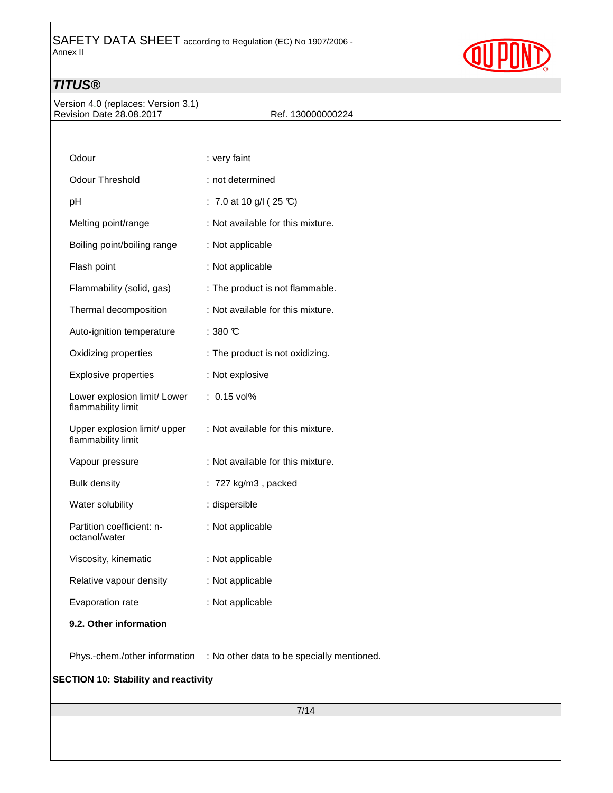

## **TITUS®**

Version 4.0 (replaces: Version 3.1) Revision Date 28.08.2017 Ref. 130000000224

| Odour                                              | : very faint                                                             |  |  |
|----------------------------------------------------|--------------------------------------------------------------------------|--|--|
| <b>Odour Threshold</b>                             | : not determined                                                         |  |  |
| pH                                                 | : 7.0 at 10 g/l (25 °C)                                                  |  |  |
| Melting point/range                                | : Not available for this mixture.                                        |  |  |
| Boiling point/boiling range                        | : Not applicable                                                         |  |  |
| Flash point                                        | : Not applicable                                                         |  |  |
| Flammability (solid, gas)                          | : The product is not flammable.                                          |  |  |
| Thermal decomposition                              | : Not available for this mixture.                                        |  |  |
| Auto-ignition temperature                          | $: 380 \text{ C}$                                                        |  |  |
| Oxidizing properties                               | : The product is not oxidizing.                                          |  |  |
| <b>Explosive properties</b>                        | : Not explosive                                                          |  |  |
| Lower explosion limit/ Lower<br>flammability limit | $: 0.15$ vol%                                                            |  |  |
| Upper explosion limit/ upper<br>flammability limit | : Not available for this mixture.                                        |  |  |
| Vapour pressure                                    | : Not available for this mixture.                                        |  |  |
| <b>Bulk density</b>                                | $: 727$ kg/m3, packed                                                    |  |  |
| Water solubility                                   | : dispersible                                                            |  |  |
| Partition coefficient: n-<br>octanol/water         | : Not applicable                                                         |  |  |
| Viscosity, kinematic                               | : Not applicable                                                         |  |  |
| Relative vapour density                            | : Not applicable                                                         |  |  |
| Evaporation rate                                   | : Not applicable                                                         |  |  |
| 9.2. Other information                             |                                                                          |  |  |
|                                                    | Phys.-chem./other information : No other data to be specially mentioned. |  |  |
| <b>SECTION 10: Stability and reactivity</b>        |                                                                          |  |  |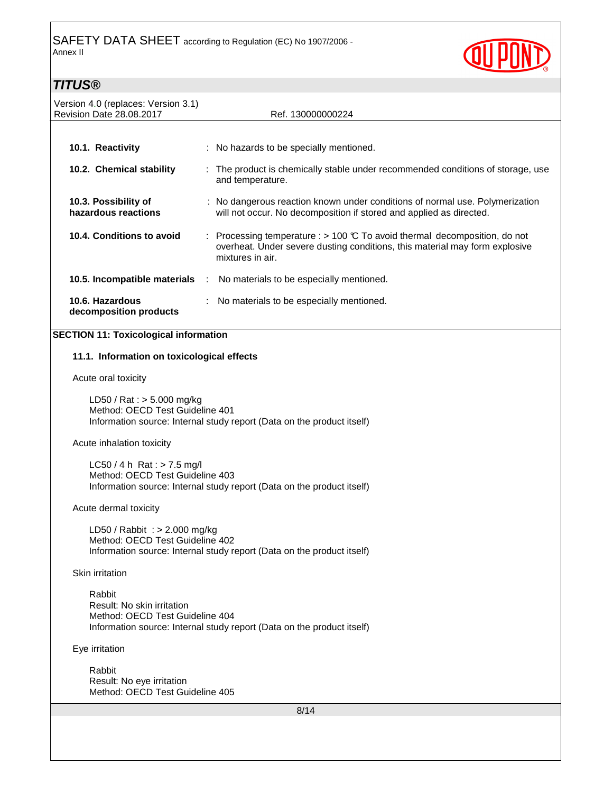

## $\mathsf{T}$ **TITI** $\mathsf{IC}$ ®

| 77709                                                                                                                                     |                                                                                                                                                                                        |  |
|-------------------------------------------------------------------------------------------------------------------------------------------|----------------------------------------------------------------------------------------------------------------------------------------------------------------------------------------|--|
| Version 4.0 (replaces: Version 3.1)<br>Revision Date 28.08.2017                                                                           | Ref. 130000000224                                                                                                                                                                      |  |
|                                                                                                                                           |                                                                                                                                                                                        |  |
| 10.1. Reactivity                                                                                                                          | : No hazards to be specially mentioned.                                                                                                                                                |  |
| 10.2. Chemical stability                                                                                                                  | : The product is chemically stable under recommended conditions of storage, use<br>and temperature.                                                                                    |  |
| 10.3. Possibility of<br>hazardous reactions                                                                                               | : No dangerous reaction known under conditions of normal use. Polymerization<br>will not occur. No decomposition if stored and applied as directed.                                    |  |
| 10.4. Conditions to avoid                                                                                                                 | : Processing temperature : > 100 $\mathbb C$ To avoid thermal decomposition, do not<br>overheat. Under severe dusting conditions, this material may form explosive<br>mixtures in air. |  |
| 10.5. Incompatible materials                                                                                                              | No materials to be especially mentioned.<br>- 11                                                                                                                                       |  |
| 10.6. Hazardous<br>decomposition products                                                                                                 | No materials to be especially mentioned.                                                                                                                                               |  |
| <b>SECTION 11: Toxicological information</b>                                                                                              |                                                                                                                                                                                        |  |
|                                                                                                                                           |                                                                                                                                                                                        |  |
| 11.1. Information on toxicological effects                                                                                                |                                                                                                                                                                                        |  |
| Acute oral toxicity                                                                                                                       |                                                                                                                                                                                        |  |
| LD50 / Rat : $> 5.000$ mg/kg<br>Method: OECD Test Guideline 401<br>Information source: Internal study report (Data on the product itself) |                                                                                                                                                                                        |  |
| Acute inhalation toxicity                                                                                                                 |                                                                                                                                                                                        |  |
| LC50 / 4 h Rat : $>$ 7.5 mg/l                                                                                                             |                                                                                                                                                                                        |  |
| Method: OECD Test Guideline 403<br>Information source: Internal study report (Data on the product itself)                                 |                                                                                                                                                                                        |  |
| Acute dermal toxicity                                                                                                                     |                                                                                                                                                                                        |  |
| LD50 / Rabbit: $> 2.000$ mg/kg<br>Method: OECD Test Guideline 402                                                                         |                                                                                                                                                                                        |  |
| Information source: Internal study report (Data on the product itself)                                                                    |                                                                                                                                                                                        |  |
| Skin irritation                                                                                                                           |                                                                                                                                                                                        |  |
| Rabbit<br>Result: No skin irritation<br>Method: OECD Test Guideline 404                                                                   | Information source: Internal study report (Data on the product itself)                                                                                                                 |  |

Eye irritation

 Rabbit Result: No eye irritation Method: OECD Test Guideline 405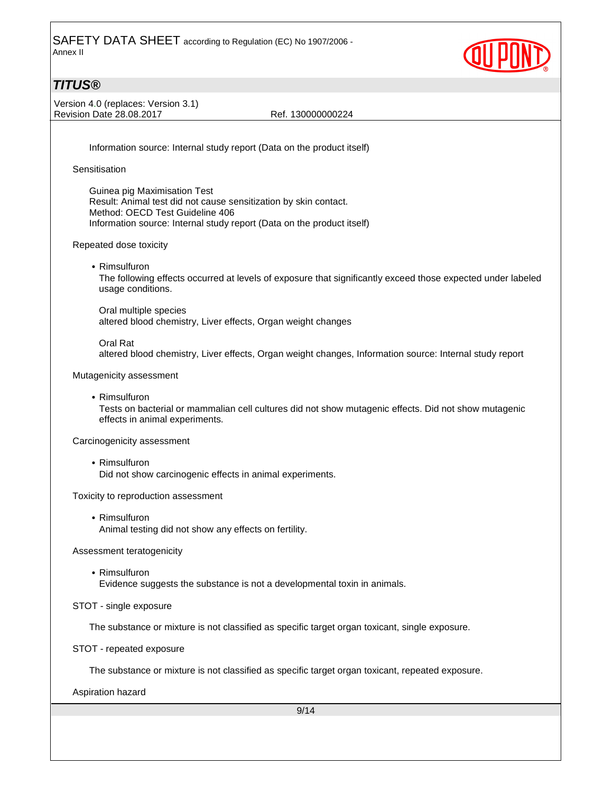

## **TITUS®**

Version 4.0 (replaces: Version 3.1) Revision Date 28.08.2017 Ref. 130000000224

Information source: Internal study report (Data on the product itself)

**Sensitisation** 

 Guinea pig Maximisation Test Result: Animal test did not cause sensitization by skin contact. Method: OECD Test Guideline 406 Information source: Internal study report (Data on the product itself)

Repeated dose toxicity

• Rimsulfuron

The following effects occurred at levels of exposure that significantly exceed those expected under labeled usage conditions.

Oral multiple species altered blood chemistry, Liver effects, Organ weight changes

Oral Rat altered blood chemistry, Liver effects, Organ weight changes, Information source: Internal study report

Mutagenicity assessment

• Rimsulfuron

 Tests on bacterial or mammalian cell cultures did not show mutagenic effects. Did not show mutagenic effects in animal experiments.

Carcinogenicity assessment

• Rimsulfuron Did not show carcinogenic effects in animal experiments.

Toxicity to reproduction assessment

• Rimsulfuron Animal testing did not show any effects on fertility.

Assessment teratogenicity

• Rimsulfuron

Evidence suggests the substance is not a developmental toxin in animals.

STOT - single exposure

The substance or mixture is not classified as specific target organ toxicant, single exposure.

STOT - repeated exposure

The substance or mixture is not classified as specific target organ toxicant, repeated exposure.

Aspiration hazard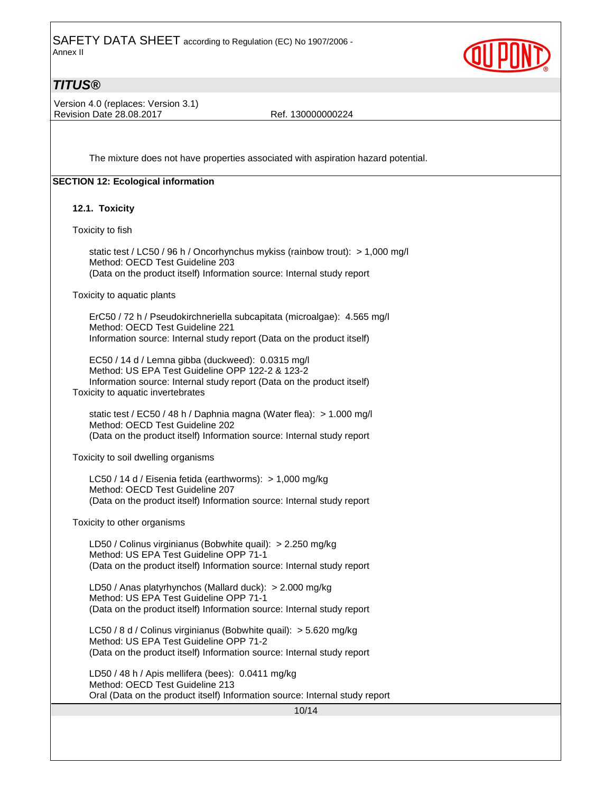

### **TITUS®**

Version 4.0 (replaces: Version 3.1) Revision Date 28.08.2017 Ref. 130000000224

The mixture does not have properties associated with aspiration hazard potential.

### **SECTION 12: Ecological information**

### **12.1. Toxicity**

Toxicity to fish

 static test / LC50 / 96 h / Oncorhynchus mykiss (rainbow trout): > 1,000 mg/l Method: OECD Test Guideline 203 (Data on the product itself) Information source: Internal study report

Toxicity to aquatic plants

 ErC50 / 72 h / Pseudokirchneriella subcapitata (microalgae): 4.565 mg/l Method: OECD Test Guideline 221 Information source: Internal study report (Data on the product itself)

 EC50 / 14 d / Lemna gibba (duckweed): 0.0315 mg/l Method: US EPA Test Guideline OPP 122-2 & 123-2 Information source: Internal study report (Data on the product itself) Toxicity to aquatic invertebrates

 static test / EC50 / 48 h / Daphnia magna (Water flea): > 1.000 mg/l Method: OECD Test Guideline 202 (Data on the product itself) Information source: Internal study report

Toxicity to soil dwelling organisms

 LC50 / 14 d / Eisenia fetida (earthworms): > 1,000 mg/kg Method: OECD Test Guideline 207 (Data on the product itself) Information source: Internal study report

Toxicity to other organisms

 LD50 / Colinus virginianus (Bobwhite quail): > 2.250 mg/kg Method: US EPA Test Guideline OPP 71-1 (Data on the product itself) Information source: Internal study report

 LD50 / Anas platyrhynchos (Mallard duck): > 2.000 mg/kg Method: US EPA Test Guideline OPP 71-1 (Data on the product itself) Information source: Internal study report

 LC50 / 8 d / Colinus virginianus (Bobwhite quail): > 5.620 mg/kg Method: US EPA Test Guideline OPP 71-2 (Data on the product itself) Information source: Internal study report

 LD50 / 48 h / Apis mellifera (bees): 0.0411 mg/kg Method: OECD Test Guideline 213 Oral (Data on the product itself) Information source: Internal study report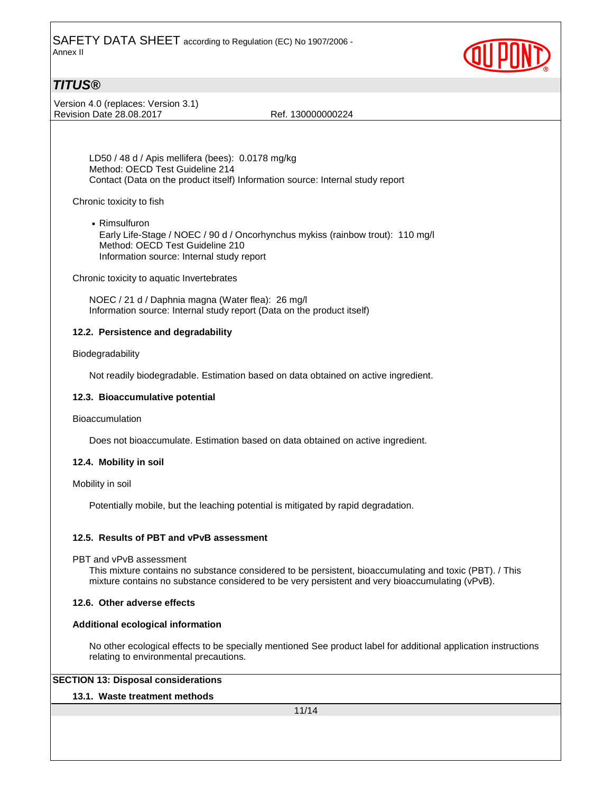

## **TITUS®**

Version 4.0 (replaces: Version 3.1) Revision Date 28.08.2017 Ref. 130000000224

 LD50 / 48 d / Apis mellifera (bees): 0.0178 mg/kg Method: OECD Test Guideline 214 Contact (Data on the product itself) Information source: Internal study report

Chronic toxicity to fish

• Rimsulfuron Early Life-Stage / NOEC / 90 d / Oncorhynchus mykiss (rainbow trout): 110 mg/l Method: OECD Test Guideline 210 Information source: Internal study report

Chronic toxicity to aquatic Invertebrates

 NOEC / 21 d / Daphnia magna (Water flea): 26 mg/l Information source: Internal study report (Data on the product itself)

### **12.2. Persistence and degradability**

### Biodegradability

Not readily biodegradable. Estimation based on data obtained on active ingredient.

### **12.3. Bioaccumulative potential**

Bioaccumulation

Does not bioaccumulate. Estimation based on data obtained on active ingredient.

### **12.4. Mobility in soil**

Mobility in soil

Potentially mobile, but the leaching potential is mitigated by rapid degradation.

### **12.5. Results of PBT and vPvB assessment**

PBT and vPvB assessment

 This mixture contains no substance considered to be persistent, bioaccumulating and toxic (PBT). / This mixture contains no substance considered to be very persistent and very bioaccumulating (vPvB).

### **12.6. Other adverse effects**

### **Additional ecological information**

 No other ecological effects to be specially mentioned See product label for additional application instructions relating to environmental precautions.

### **SECTION 13: Disposal considerations**

### **13.1. Waste treatment methods**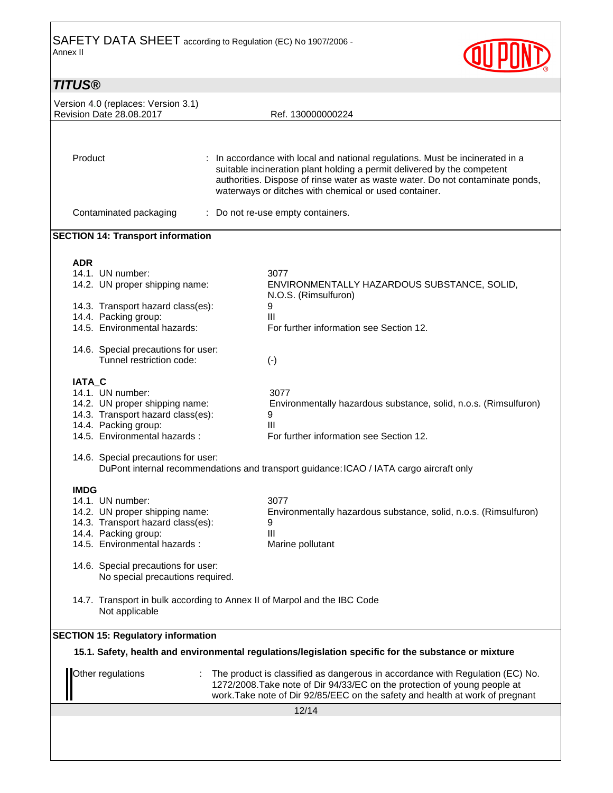

| <b>TITUS®</b>                                                           |                                                                                                                                                                                                                                                                                                    |
|-------------------------------------------------------------------------|----------------------------------------------------------------------------------------------------------------------------------------------------------------------------------------------------------------------------------------------------------------------------------------------------|
| Version 4.0 (replaces: Version 3.1)                                     |                                                                                                                                                                                                                                                                                                    |
| <b>Revision Date 28.08.2017</b>                                         | Ref. 130000000224                                                                                                                                                                                                                                                                                  |
| Product                                                                 | : In accordance with local and national regulations. Must be incinerated in a<br>suitable incineration plant holding a permit delivered by the competent<br>authorities. Dispose of rinse water as waste water. Do not contaminate ponds,<br>waterways or ditches with chemical or used container. |
|                                                                         |                                                                                                                                                                                                                                                                                                    |
| Contaminated packaging                                                  | : Do not re-use empty containers.                                                                                                                                                                                                                                                                  |
| <b>SECTION 14: Transport information</b>                                |                                                                                                                                                                                                                                                                                                    |
| <b>ADR</b>                                                              |                                                                                                                                                                                                                                                                                                    |
| 14.1. UN number:<br>14.2. UN proper shipping name:                      | 3077<br>ENVIRONMENTALLY HAZARDOUS SUBSTANCE, SOLID,<br>N.O.S. (Rimsulfuron)                                                                                                                                                                                                                        |
| 14.3. Transport hazard class(es):                                       | 9                                                                                                                                                                                                                                                                                                  |
| 14.4. Packing group:<br>14.5. Environmental hazards:                    | Ш<br>For further information see Section 12.                                                                                                                                                                                                                                                       |
| 14.6. Special precautions for user:<br>Tunnel restriction code:         | $(\cdot)$                                                                                                                                                                                                                                                                                          |
| <b>IATA C</b>                                                           |                                                                                                                                                                                                                                                                                                    |
| 14.1. UN number:                                                        | 3077                                                                                                                                                                                                                                                                                               |
| 14.2. UN proper shipping name:                                          | Environmentally hazardous substance, solid, n.o.s. (Rimsulfuron)                                                                                                                                                                                                                                   |
| 14.3. Transport hazard class(es):                                       | 9<br>$\mathbf{III}$                                                                                                                                                                                                                                                                                |
| 14.4. Packing group:<br>14.5. Environmental hazards:                    | For further information see Section 12.                                                                                                                                                                                                                                                            |
| 14.6. Special precautions for user:                                     | DuPont internal recommendations and transport guidance: ICAO / IATA cargo aircraft only                                                                                                                                                                                                            |
| <b>IMDG</b>                                                             |                                                                                                                                                                                                                                                                                                    |
| 14.1. UN number:                                                        | 3077                                                                                                                                                                                                                                                                                               |
| 14.2. UN proper shipping name:<br>14.3. Transport hazard class(es):     | Environmentally hazardous substance, solid, n.o.s. (Rimsulfuron)<br>9                                                                                                                                                                                                                              |
| 14.4. Packing group:                                                    | $\mathbf{III}$                                                                                                                                                                                                                                                                                     |
| 14.5. Environmental hazards :                                           | Marine pollutant                                                                                                                                                                                                                                                                                   |
| 14.6. Special precautions for user:<br>No special precautions required. |                                                                                                                                                                                                                                                                                                    |
| Not applicable                                                          | 14.7. Transport in bulk according to Annex II of Marpol and the IBC Code                                                                                                                                                                                                                           |
| <b>SECTION 15: Regulatory information</b>                               |                                                                                                                                                                                                                                                                                                    |
|                                                                         | 15.1. Safety, health and environmental regulations/legislation specific for the substance or mixture                                                                                                                                                                                               |
| Other regulations                                                       | : The product is classified as dangerous in accordance with Regulation (EC) No.<br>1272/2008. Take note of Dir 94/33/EC on the protection of young people at<br>work. Take note of Dir 92/85/EEC on the safety and health at work of pregnant                                                      |
|                                                                         | 12/14                                                                                                                                                                                                                                                                                              |
|                                                                         |                                                                                                                                                                                                                                                                                                    |
|                                                                         |                                                                                                                                                                                                                                                                                                    |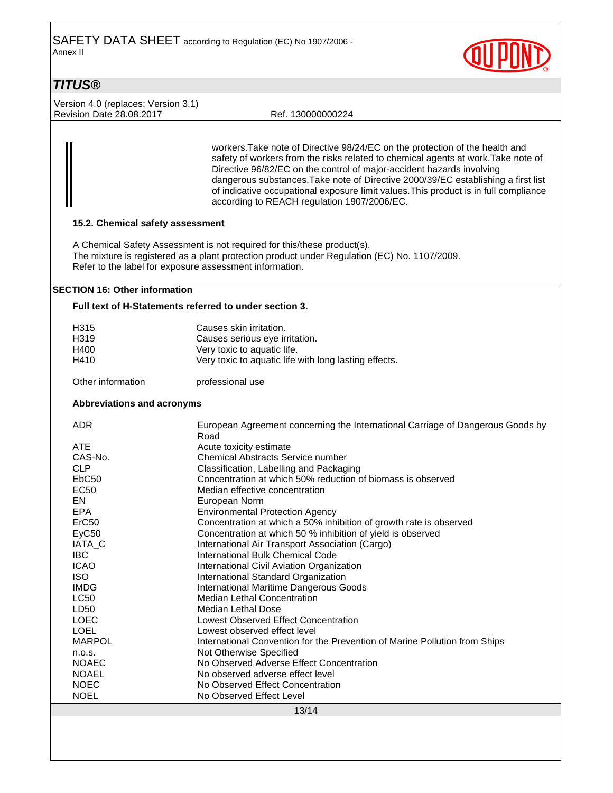

### **TITUS®**

Version 4.0 (replaces: Version 3.1) Revision Date 28.08.2017 Ref. 130000000224

workers.Take note of Directive 98/24/EC on the protection of the health and safety of workers from the risks related to chemical agents at work.Take note of Directive 96/82/EC on the control of major-accident hazards involving dangerous substances.Take note of Directive 2000/39/EC establishing a first list of indicative occupational exposure limit values.This product is in full compliance according to REACH regulation 1907/2006/EC.

### **15.2. Chemical safety assessment**

A Chemical Safety Assessment is not required for this/these product(s). The mixture is registered as a plant protection product under Regulation (EC) No. 1107/2009. Refer to the label for exposure assessment information.

### **SECTION 16: Other information**

### **Full text of H-Statements referred to under section 3.**

| H315<br>H319<br>H400       | Causes skin irritation.<br>Causes serious eye irritation.<br>Very toxic to aquatic life. |  |  |  |
|----------------------------|------------------------------------------------------------------------------------------|--|--|--|
| H410                       | Very toxic to aquatic life with long lasting effects.                                    |  |  |  |
| Other information          | professional use                                                                         |  |  |  |
| Abbreviations and acronyms |                                                                                          |  |  |  |
| <b>ADR</b>                 | European Agreement concerning the International Carriage of Dangerous Goods by<br>Road   |  |  |  |
| ATE                        | Acute toxicity estimate                                                                  |  |  |  |
| CAS-No.                    | Chemical Abstracts Service number                                                        |  |  |  |
| <b>CLP</b>                 | Classification, Labelling and Packaging                                                  |  |  |  |
| EbC50                      | Concentration at which 50% reduction of biomass is observed                              |  |  |  |
| <b>EC50</b>                | Median effective concentration                                                           |  |  |  |
| EN                         | European Norm                                                                            |  |  |  |
| EPA                        | <b>Environmental Protection Agency</b>                                                   |  |  |  |
| ErC50                      | Concentration at which a 50% inhibition of growth rate is observed                       |  |  |  |
| EyC50                      | Concentration at which 50 % inhibition of yield is observed                              |  |  |  |
| IATA_C                     | International Air Transport Association (Cargo)                                          |  |  |  |
| <b>IBC</b>                 | <b>International Bulk Chemical Code</b>                                                  |  |  |  |
| <b>ICAO</b>                | International Civil Aviation Organization                                                |  |  |  |
| <b>ISO</b>                 | International Standard Organization                                                      |  |  |  |
| <b>IMDG</b>                | <b>International Maritime Dangerous Goods</b>                                            |  |  |  |
| <b>LC50</b>                | <b>Median Lethal Concentration</b>                                                       |  |  |  |
| LD50                       | Median Lethal Dose                                                                       |  |  |  |
| <b>LOEC</b>                | <b>Lowest Observed Effect Concentration</b>                                              |  |  |  |
| <b>LOEL</b>                | Lowest observed effect level                                                             |  |  |  |
| <b>MARPOL</b>              | International Convention for the Prevention of Marine Pollution from Ships               |  |  |  |
| n.o.s.                     | Not Otherwise Specified                                                                  |  |  |  |
| <b>NOAEC</b>               | No Observed Adverse Effect Concentration                                                 |  |  |  |
| <b>NOAEL</b>               | No observed adverse effect level                                                         |  |  |  |
| <b>NOEC</b>                | No Observed Effect Concentration                                                         |  |  |  |
| <b>NOEL</b>                | No Observed Effect Level                                                                 |  |  |  |
| 13/14                      |                                                                                          |  |  |  |